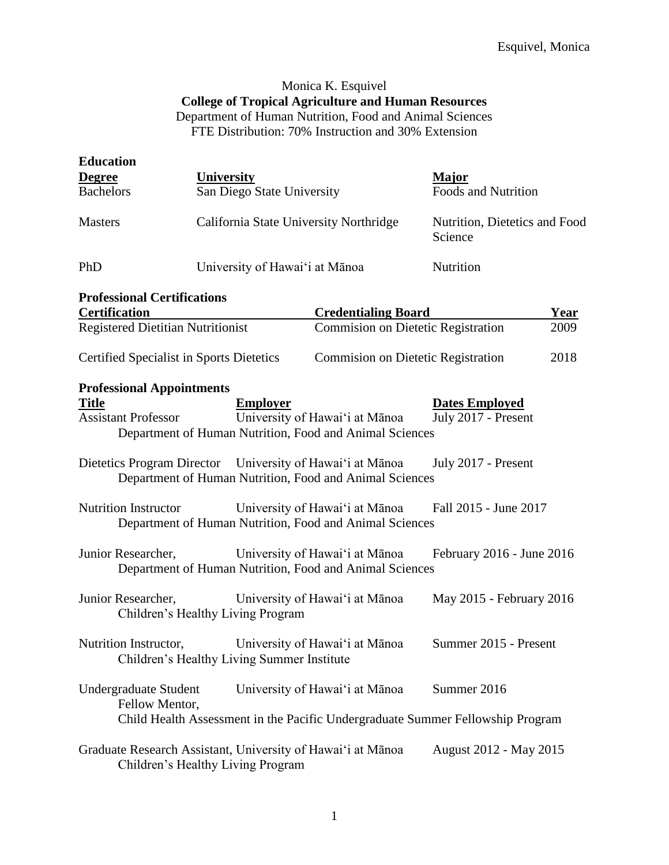# Monica K. Esquivel **College of Tropical Agriculture and Human Resources** Department of Human Nutrition, Food and Animal Sciences FTE Distribution: 70% Instruction and 30% Extension

| <b>Education</b>                                                               |                                                                                                  |                                                                                                                  |                                              |             |
|--------------------------------------------------------------------------------|--------------------------------------------------------------------------------------------------|------------------------------------------------------------------------------------------------------------------|----------------------------------------------|-------------|
| <b>Degree</b>                                                                  | <b>University</b>                                                                                |                                                                                                                  | <b>Major</b>                                 |             |
| <b>Bachelors</b>                                                               | San Diego State University                                                                       |                                                                                                                  | <b>Foods and Nutrition</b>                   |             |
| <b>Masters</b>                                                                 | California State University Northridge                                                           |                                                                                                                  | Nutrition, Dietetics and Food<br>Science     |             |
| PhD                                                                            | University of Hawai'i at Mānoa                                                                   |                                                                                                                  | Nutrition                                    |             |
| <b>Professional Certifications</b><br><b>Certification</b>                     |                                                                                                  | <b>Credentialing Board</b>                                                                                       |                                              | <b>Year</b> |
| <b>Registered Dietitian Nutritionist</b>                                       |                                                                                                  | <b>Commision on Dietetic Registration</b>                                                                        |                                              | 2009        |
| <b>Certified Specialist in Sports Dietetics</b>                                |                                                                                                  | <b>Commision on Dietetic Registration</b>                                                                        |                                              | 2018        |
| <b>Professional Appointments</b><br><b>Title</b><br><b>Assistant Professor</b> | <b>Employer</b>                                                                                  | University of Hawai'i at Mānoa<br>Department of Human Nutrition, Food and Animal Sciences                        | <b>Dates Employed</b><br>July 2017 - Present |             |
|                                                                                | Dietetics Program Director University of Hawai'i at Mānoa                                        | Department of Human Nutrition, Food and Animal Sciences                                                          | July 2017 - Present                          |             |
| <b>Nutrition Instructor</b>                                                    |                                                                                                  | University of Hawai'i at Mānoa<br>Department of Human Nutrition, Food and Animal Sciences                        | Fall 2015 - June 2017                        |             |
| Junior Researcher,                                                             |                                                                                                  | University of Hawai'i at Mānoa<br>Department of Human Nutrition, Food and Animal Sciences                        | February 2016 - June 2016                    |             |
| Junior Researcher,                                                             | Children's Healthy Living Program                                                                | University of Hawai'i at Mānoa                                                                                   | May 2015 - February 2016                     |             |
| Nutrition Instructor,                                                          | Children's Healthy Living Summer Institute                                                       | University of Hawai'i at Mānoa                                                                                   | Summer 2015 - Present                        |             |
| <b>Undergraduate Student</b><br>Fellow Mentor,                                 |                                                                                                  | University of Hawai'i at Mānoa<br>Child Health Assessment in the Pacific Undergraduate Summer Fellowship Program | Summer 2016                                  |             |
|                                                                                | Graduate Research Assistant, University of Hawai'i at Mānoa<br>Children's Healthy Living Program |                                                                                                                  | August 2012 - May 2015                       |             |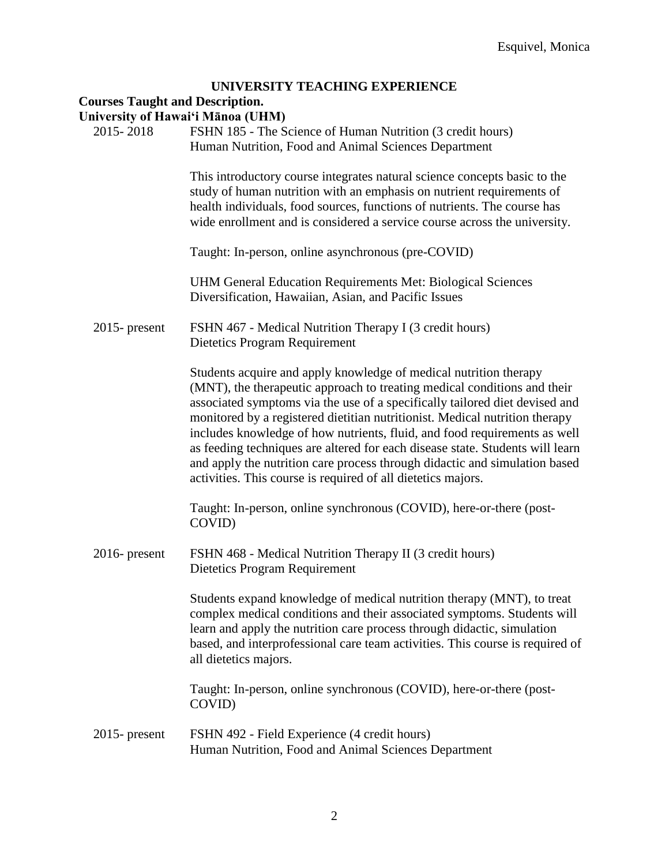# **UNIVERSITY TEACHING EXPERIENCE**

### **Courses Taught and Description.**

**University of Hawai'i Mānoa (UHM)**

| 2015-2018        | FSHN 185 - The Science of Human Nutrition (3 credit hours)<br>Human Nutrition, Food and Animal Sciences Department                                                                                                                                                                                                                                                                                                                                                                                                                                                                                                      |
|------------------|-------------------------------------------------------------------------------------------------------------------------------------------------------------------------------------------------------------------------------------------------------------------------------------------------------------------------------------------------------------------------------------------------------------------------------------------------------------------------------------------------------------------------------------------------------------------------------------------------------------------------|
|                  | This introductory course integrates natural science concepts basic to the<br>study of human nutrition with an emphasis on nutrient requirements of<br>health individuals, food sources, functions of nutrients. The course has<br>wide enrollment and is considered a service course across the university.                                                                                                                                                                                                                                                                                                             |
|                  | Taught: In-person, online asynchronous (pre-COVID)                                                                                                                                                                                                                                                                                                                                                                                                                                                                                                                                                                      |
|                  | UHM General Education Requirements Met: Biological Sciences<br>Diversification, Hawaiian, Asian, and Pacific Issues                                                                                                                                                                                                                                                                                                                                                                                                                                                                                                     |
| $2015$ - present | FSHN 467 - Medical Nutrition Therapy I (3 credit hours)<br>Dietetics Program Requirement                                                                                                                                                                                                                                                                                                                                                                                                                                                                                                                                |
|                  | Students acquire and apply knowledge of medical nutrition therapy<br>(MNT), the therapeutic approach to treating medical conditions and their<br>associated symptoms via the use of a specifically tailored diet devised and<br>monitored by a registered dietitian nutritionist. Medical nutrition therapy<br>includes knowledge of how nutrients, fluid, and food requirements as well<br>as feeding techniques are altered for each disease state. Students will learn<br>and apply the nutrition care process through didactic and simulation based<br>activities. This course is required of all dietetics majors. |
|                  | Taught: In-person, online synchronous (COVID), here-or-there (post-<br>COVID)                                                                                                                                                                                                                                                                                                                                                                                                                                                                                                                                           |
| $2016$ - present | FSHN 468 - Medical Nutrition Therapy II (3 credit hours)<br>Dietetics Program Requirement                                                                                                                                                                                                                                                                                                                                                                                                                                                                                                                               |
|                  | Students expand knowledge of medical nutrition therapy (MNT), to treat<br>complex medical conditions and their associated symptoms. Students will<br>learn and apply the nutrition care process through didactic, simulation<br>based, and interprofessional care team activities. This course is required of<br>all dietetics majors.                                                                                                                                                                                                                                                                                  |
|                  | Taught: In-person, online synchronous (COVID), here-or-there (post-<br>COVID)                                                                                                                                                                                                                                                                                                                                                                                                                                                                                                                                           |
| $2015$ - present | FSHN 492 - Field Experience (4 credit hours)<br>Human Nutrition, Food and Animal Sciences Department                                                                                                                                                                                                                                                                                                                                                                                                                                                                                                                    |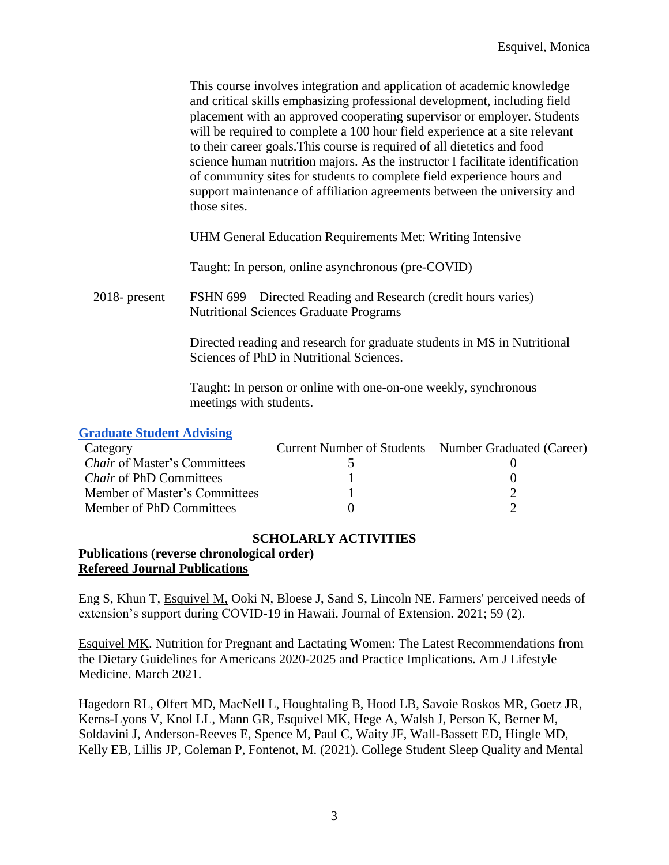This course involves integration and application of academic knowledge and critical skills emphasizing professional development, including field placement with an approved cooperating supervisor or employer. Students will be required to complete a 100 hour field experience at a site relevant to their career goals.This course is required of all dietetics and food science human nutrition majors. As the instructor I facilitate identification of community sites for students to complete field experience hours and support maintenance of affiliation agreements between the university and those sites.

UHM General Education Requirements Met: Writing Intensive

Taught: In person, online asynchronous (pre-COVID)

2018- present FSHN 699 – Directed Reading and Research (credit hours varies) Nutritional Sciences Graduate Programs

> Directed reading and research for graduate students in MS in Nutritional Sciences of PhD in Nutritional Sciences.

Taught: In person or online with one-on-one weekly, synchronous meetings with students.

#### **[Graduate Student Advising](https://docs.google.com/document/d/1hf0aJEV4ESF2uMAIg-0miS1Lz-mXKecHB5f8QX2VgXo/edit?usp=sharing)**

| Category                            | <b>Current Number of Students</b> | Number Graduated (Career) |
|-------------------------------------|-----------------------------------|---------------------------|
| <i>Chair</i> of Master's Committees |                                   |                           |
| <i>Chair</i> of PhD Committees      |                                   |                           |
| Member of Master's Committees       |                                   |                           |
| Member of PhD Committees            |                                   |                           |

### **SCHOLARLY ACTIVITIES**

#### **Publications (reverse chronological order) Refereed Journal Publications**

Eng S, Khun T, Esquivel M, Ooki N, Bloese J, Sand S, Lincoln NE. Farmers' perceived needs of extension's support during COVID-19 in Hawaii. Journal of Extension. 2021; 59 (2).

Esquivel MK. Nutrition for Pregnant and Lactating Women: The Latest Recommendations from the Dietary Guidelines for Americans 2020-2025 and Practice Implications. Am J Lifestyle Medicine. March 2021.

Hagedorn RL, Olfert MD, MacNell L, Houghtaling B, Hood LB, Savoie Roskos MR, Goetz JR, Kerns-Lyons V, Knol LL, Mann GR, Esquivel MK, Hege A, Walsh J, Person K, Berner M, Soldavini J, Anderson-Reeves E, Spence M, Paul C, Waity JF, Wall-Bassett ED, Hingle MD, Kelly EB, Lillis JP, Coleman P, Fontenot, M. (2021). College Student Sleep Quality and Mental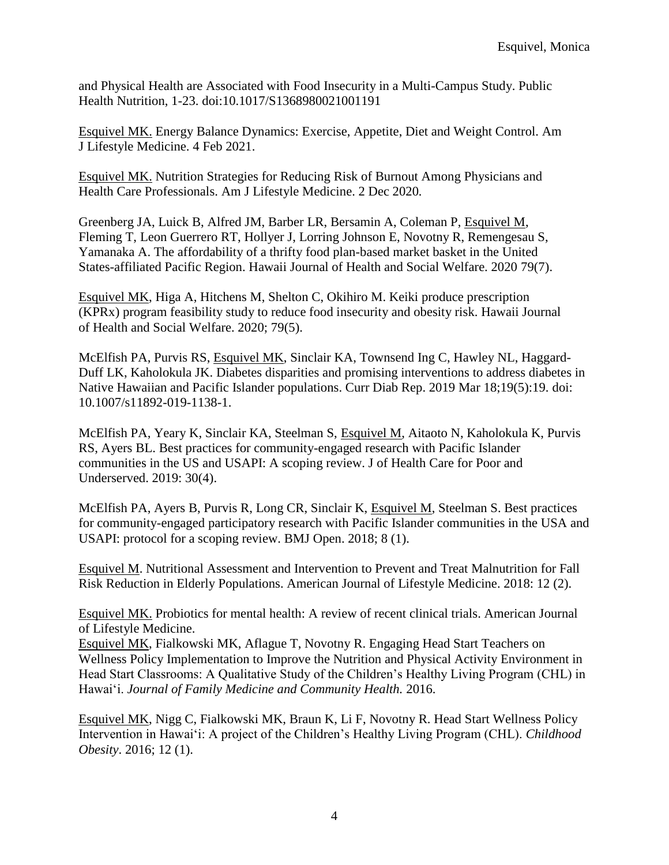and Physical Health are Associated with Food Insecurity in a Multi-Campus Study. Public Health Nutrition, 1-23. doi:10.1017/S1368980021001191

Esquivel MK. Energy Balance Dynamics: Exercise, Appetite, Diet and Weight Control. Am J Lifestyle Medicine. 4 Feb 2021.

Esquivel MK. Nutrition Strategies for Reducing Risk of Burnout Among Physicians and Health Care Professionals. Am J Lifestyle Medicine. 2 Dec 2020*.*

Greenberg JA, Luick B, Alfred JM, Barber LR, Bersamin A, Coleman P, Esquivel M, Fleming T, Leon Guerrero RT, Hollyer J, Lorring Johnson E, Novotny R, Remengesau S, Yamanaka A. The affordability of a thrifty food plan-based market basket in the United States-affiliated Pacific Region. Hawaii Journal of Health and Social Welfare. 2020 79(7).

Esquivel MK, Higa A, Hitchens M, Shelton C, Okihiro M. Keiki produce prescription (KPRx) program feasibility study to reduce food insecurity and obesity risk. Hawaii Journal of Health and Social Welfare. 2020; 79(5).

McElfish PA, Purvis RS, Esquivel MK, Sinclair KA, Townsend Ing C, Hawley NL, Haggard-Duff LK, Kaholokula JK. Diabetes disparities and promising interventions to address diabetes in Native Hawaiian and Pacific Islander populations. Curr Diab Rep. 2019 Mar 18;19(5):19. doi: 10.1007/s11892-019-1138-1.

McElfish PA, Yeary K, Sinclair KA, Steelman S, Esquivel M, Aitaoto N, Kaholokula K, Purvis RS, Ayers BL. Best practices for community-engaged research with Pacific Islander communities in the US and USAPI: A scoping review. J of Health Care for Poor and Underserved. 2019: 30(4).

McElfish PA, Ayers B, Purvis R, Long CR, Sinclair K, Esquivel M, Steelman S. Best practices for community-engaged participatory research with Pacific Islander communities in the USA and USAPI: protocol for a scoping review. BMJ Open. 2018; 8 (1).

Esquivel M. Nutritional Assessment and Intervention to Prevent and Treat Malnutrition for Fall Risk Reduction in Elderly Populations. American Journal of Lifestyle Medicine. 2018: 12 (2).

Esquivel MK. Probiotics for mental health: A review of recent clinical trials. American Journal of Lifestyle Medicine.

Esquivel MK, Fialkowski MK, Aflague T, Novotny R. Engaging Head Start Teachers on Wellness Policy Implementation to Improve the Nutrition and Physical Activity Environment in Head Start Classrooms: A Qualitative Study of the Children's Healthy Living Program (CHL) in Hawai'i. *Journal of Family Medicine and Community Health.* 2016.

Esquivel MK, Nigg C, Fialkowski MK, Braun K, Li F, Novotny R. Head Start Wellness Policy Intervention in Hawai'i: A project of the Children's Healthy Living Program (CHL). *Childhood Obesity*. 2016; 12 (1).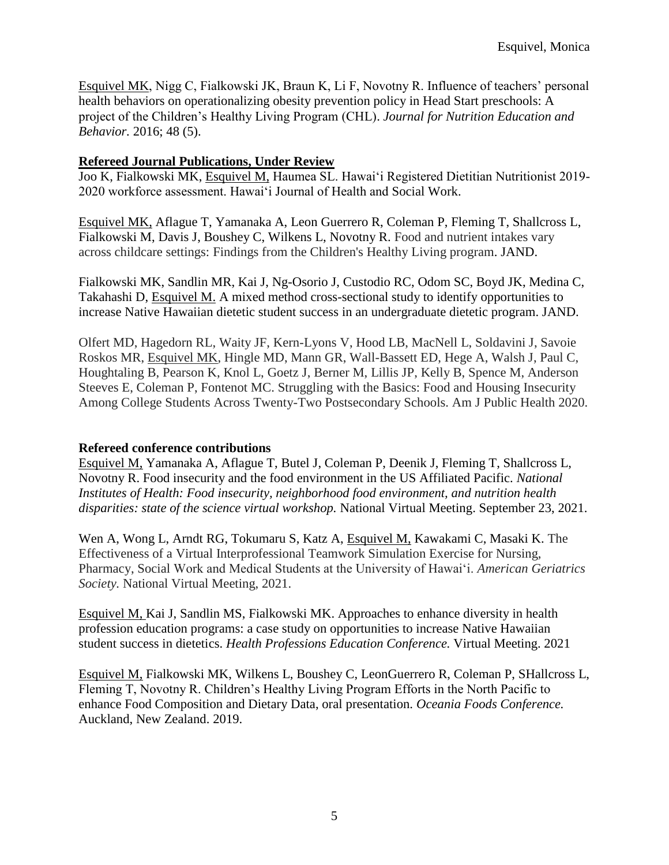Esquivel MK, Nigg C, Fialkowski JK, Braun K, Li F, Novotny R. Influence of teachers' personal health behaviors on operationalizing obesity prevention policy in Head Start preschools: A project of the Children's Healthy Living Program (CHL). *Journal for Nutrition Education and Behavior.* 2016; 48 (5).

### **Refereed Journal Publications, Under Review**

Joo K, Fialkowski MK, Esquivel M, Haumea SL. Hawai'i Registered Dietitian Nutritionist 2019- 2020 workforce assessment. Hawai'i Journal of Health and Social Work.

Esquivel MK, Aflague T, Yamanaka A, Leon Guerrero R, Coleman P, Fleming T, Shallcross L, Fialkowski M, Davis J, Boushey C, Wilkens L, Novotny R. Food and nutrient intakes vary across childcare settings: Findings from the Children's Healthy Living program. JAND.

Fialkowski MK, Sandlin MR, Kai J, Ng-Osorio J, Custodio RC, Odom SC, Boyd JK, Medina C, Takahashi D, Esquivel M. A mixed method cross-sectional study to identify opportunities to increase Native Hawaiian dietetic student success in an undergraduate dietetic program. JAND.

Olfert MD, Hagedorn RL, Waity JF, Kern-Lyons V, Hood LB, MacNell L, Soldavini J, Savoie Roskos MR, Esquivel MK, Hingle MD, Mann GR, Wall-Bassett ED, Hege A, Walsh J, Paul C, Houghtaling B, Pearson K, Knol L, Goetz J, Berner M, Lillis JP, Kelly B, Spence M, Anderson Steeves E, Coleman P, Fontenot MC. Struggling with the Basics: Food and Housing Insecurity Among College Students Across Twenty-Two Postsecondary Schools. Am J Public Health 2020.

### **Refereed conference contributions**

Esquivel M, Yamanaka A, Aflague T, Butel J, Coleman P, Deenik J, Fleming T, Shallcross L, Novotny R. Food insecurity and the food environment in the US Affiliated Pacific. *National Institutes of Health: Food insecurity, neighborhood food environment, and nutrition health disparities: state of the science virtual workshop.* National Virtual Meeting. September 23, 2021.

Wen [A, Wong L, Arndt RG, Tokumaru S, Katz A, Esquivel M,](https://pesquisa.bvsalud.org/global-literature-on-novel-coronavirus-2019-ncov/?lang=pt&q=au:%22Wen,%20A.%22) [Kawakami C, Masaki K.](https://pesquisa.bvsalud.org/global-literature-on-novel-coronavirus-2019-ncov/?lang=pt&q=au:%22Wen,%20A.%22) The Effectiveness of a Virtual Interprofessional Teamwork Simulation Exercise for Nursing, Pharmacy, Social Work and Medical Students at the University of Hawai'i. *American Geriatrics Society.* National Virtual Meeting, 2021.

Esquivel M, Kai J, Sandlin MS, Fialkowski MK. Approaches to enhance diversity in health profession education programs: a case study on opportunities to increase Native Hawaiian student success in dietetics. *Health Professions Education Conference.* Virtual Meeting. 2021

Esquivel M, Fialkowski MK, Wilkens L, Boushey C, LeonGuerrero R, Coleman P, SHallcross L, Fleming T, Novotny R. Children's Healthy Living Program Efforts in the North Pacific to enhance Food Composition and Dietary Data, oral presentation. *Oceania Foods Conference.* Auckland, New Zealand. 2019.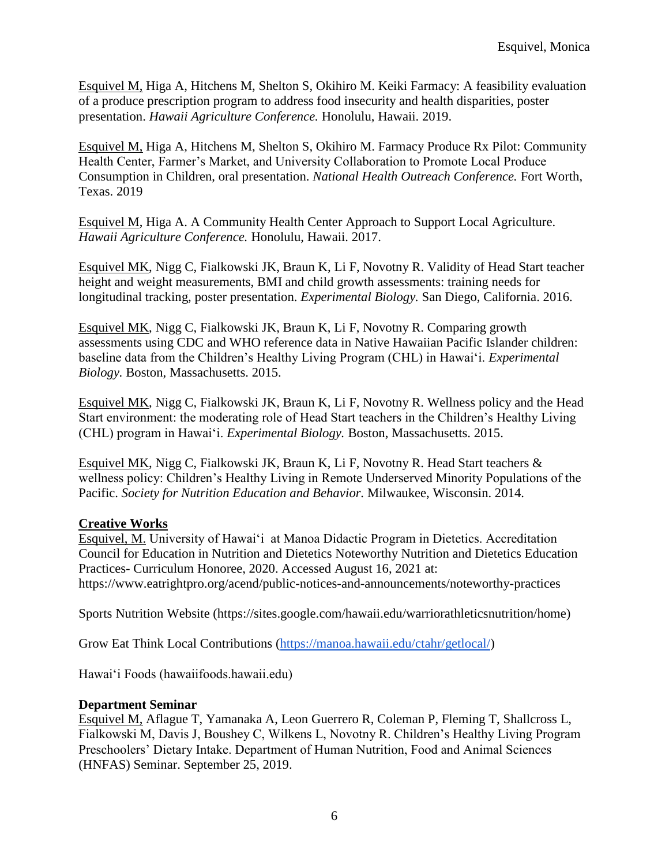Esquivel M, Higa A, Hitchens M, Shelton S, Okihiro M. Keiki Farmacy: A feasibility evaluation of a produce prescription program to address food insecurity and health disparities, poster presentation. *Hawaii Agriculture Conference.* Honolulu, Hawaii. 2019.

Esquivel M, Higa A, Hitchens M, Shelton S, Okihiro M. Farmacy Produce Rx Pilot: Community Health Center, Farmer's Market, and University Collaboration to Promote Local Produce Consumption in Children, oral presentation. *National Health Outreach Conference.* Fort Worth, Texas. 2019

Esquivel M, Higa A. A Community Health Center Approach to Support Local Agriculture. *Hawaii Agriculture Conference.* Honolulu, Hawaii. 2017.

Esquivel MK, Nigg C, Fialkowski JK, Braun K, Li F, Novotny R. Validity of Head Start teacher height and weight measurements, BMI and child growth assessments: training needs for longitudinal tracking, poster presentation. *Experimental Biology.* San Diego, California. 2016.

Esquivel MK, Nigg C, Fialkowski JK, Braun K, Li F, Novotny R. Comparing growth assessments using CDC and WHO reference data in Native Hawaiian Pacific Islander children: baseline data from the Children's Healthy Living Program (CHL) in Hawaiʻi. *Experimental Biology.* Boston, Massachusetts. 2015.

Esquivel MK, Nigg C, Fialkowski JK, Braun K, Li F, Novotny R. Wellness policy and the Head Start environment: the moderating role of Head Start teachers in the Children's Healthy Living (CHL) program in Hawai'i. *Experimental Biology.* Boston, Massachusetts. 2015.

Esquivel MK, Nigg C, Fialkowski JK, Braun K, Li F, Novotny R. Head Start teachers & wellness policy: Children's Healthy Living in Remote Underserved Minority Populations of the Pacific. *Society for Nutrition Education and Behavior.* Milwaukee, Wisconsin. 2014.

### **Creative Works**

Esquivel, M. University of Hawai'i at Manoa Didactic Program in Dietetics. Accreditation Council for Education in Nutrition and Dietetics Noteworthy Nutrition and Dietetics Education Practices- Curriculum Honoree, 2020. Accessed August 16, 2021 at: https://www.eatrightpro.org/acend/public-notices-and-announcements/noteworthy-practices

Sports Nutrition Website (https://sites.google.com/hawaii.edu/warriorathleticsnutrition/home)

Grow Eat Think Local Contributions [\(https://manoa.hawaii.edu/ctahr/getlocal/\)](https://manoa.hawaii.edu/ctahr/getlocal/)

Hawai'i Foods (hawaiifoods.hawaii.edu)

### **Department Seminar**

Esquivel M, Aflague T, Yamanaka A, Leon Guerrero R, Coleman P, Fleming T, Shallcross L, Fialkowski M, Davis J, Boushey C, Wilkens L, Novotny R. Children's Healthy Living Program Preschoolers' Dietary Intake. Department of Human Nutrition, Food and Animal Sciences (HNFAS) Seminar. September 25, 2019.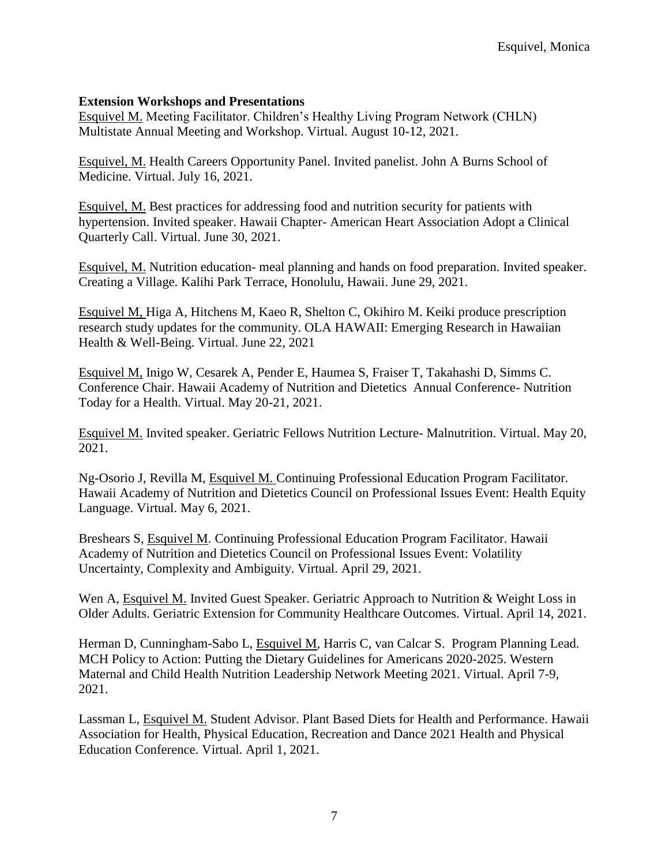### **Extension Workshops and Presentations**

Esquivel M. Meeting Facilitator. Children's Healthy Living Program Network (CHLN) Multistate Annual Meeting and Workshop. Virtual. August 10-12, 2021.

Esquivel, M. Health Careers Opportunity Panel. Invited panelist. John A Burns School of Medicine. Virtual. July 16, 2021.

Esquivel, M. Best practices for addressing food and nutrition security for patients with hypertension. Invited speaker. Hawaii Chapter- American Heart Association Adopt a Clinical Quarterly Call. Virtual. June 30, 2021.

Esquivel, M. Nutrition education- meal planning and hands on food preparation. Invited speaker. Creating a Village. Kalihi Park Terrace, Honolulu, Hawaii. June 29, 2021.

Esquivel M, Higa A, Hitchens M, Kaeo R, Shelton C, Okihiro M. Keiki produce prescription research study updates for the community. OLA HAWAII: Emerging Research in Hawaiian Health & Well-Being. Virtual. June 22, 2021

Esquivel M, Inigo W, Cesarek A, Pender E, Haumea S, Fraiser T, Takahashi D, Simms C. Conference Chair. Hawaii Academy of Nutrition and Dietetics Annual Conference- Nutrition Today for a Health. Virtual. May 20-21, 2021.

Esquivel M. Invited speaker. Geriatric Fellows Nutrition Lecture- Malnutrition. Virtual. May 20, 2021.

Ng-Osorio J, Revilla M, Esquivel M. Continuing Professional Education Program Facilitator. Hawaii Academy of Nutrition and Dietetics Council on Professional Issues Event: Health Equity Language. Virtual. May 6, 2021.

Breshears S, Esquivel M. Continuing Professional Education Program Facilitator. Hawaii Academy of Nutrition and Dietetics Council on Professional Issues Event: Volatility Uncertainty, Complexity and Ambiguity. Virtual. April 29, 2021.

Wen A, Esquivel M. Invited Guest Speaker. Geriatric Approach to Nutrition & Weight Loss in Older Adults. Geriatric Extension for Community Healthcare Outcomes. Virtual. April 14, 2021.

Herman D, Cunningham-Sabo L, Esquivel M, Harris C, van Calcar S. Program Planning Lead. MCH Policy to Action: Putting the Dietary Guidelines for Americans 2020-2025. Western Maternal and Child Health Nutrition Leadership Network Meeting 2021. Virtual. April 7-9, 2021.

Lassman L, Esquivel M. Student Advisor. Plant Based Diets for Health and Performance. Hawaii Association for Health, Physical Education, Recreation and Dance 2021 Health and Physical Education Conference. Virtual. April 1, 2021.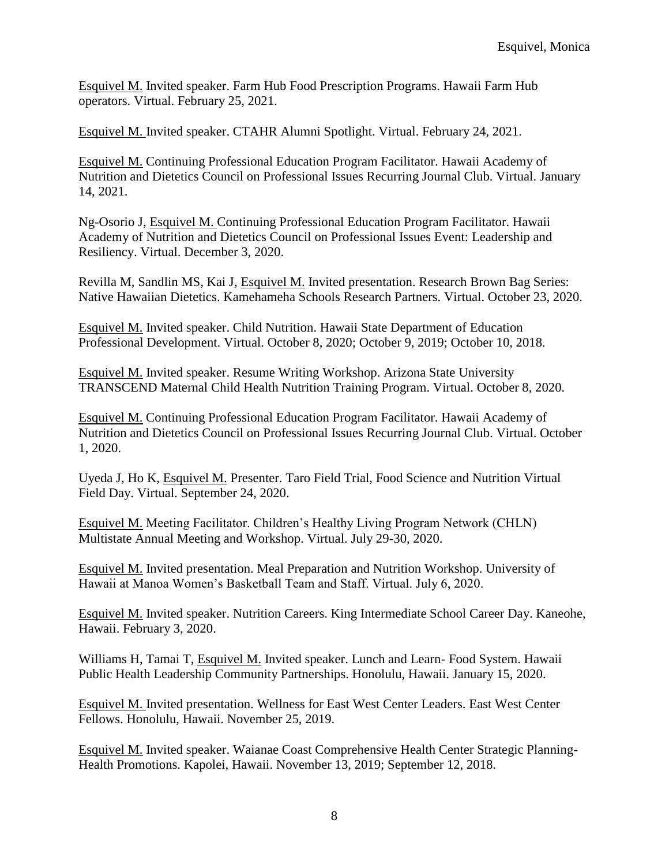Esquivel M. Invited speaker. Farm Hub Food Prescription Programs. Hawaii Farm Hub operators. Virtual. February 25, 2021.

Esquivel M. Invited speaker. CTAHR Alumni Spotlight. Virtual. February 24, 2021.

Esquivel M. Continuing Professional Education Program Facilitator. Hawaii Academy of Nutrition and Dietetics Council on Professional Issues Recurring Journal Club. Virtual. January 14, 2021.

Ng-Osorio J, Esquivel M. Continuing Professional Education Program Facilitator. Hawaii Academy of Nutrition and Dietetics Council on Professional Issues Event: Leadership and Resiliency. Virtual. December 3, 2020.

Revilla M, Sandlin MS, Kai J, Esquivel M. Invited presentation. Research Brown Bag Series: Native Hawaiian Dietetics. Kamehameha Schools Research Partners. Virtual. October 23, 2020.

Esquivel M. Invited speaker. Child Nutrition. Hawaii State Department of Education Professional Development. Virtual. October 8, 2020; October 9, 2019; October 10, 2018.

Esquivel M. Invited speaker. Resume Writing Workshop. Arizona State University TRANSCEND Maternal Child Health Nutrition Training Program. Virtual. October 8, 2020.

Esquivel M. Continuing Professional Education Program Facilitator. Hawaii Academy of Nutrition and Dietetics Council on Professional Issues Recurring Journal Club. Virtual. October 1, 2020.

Uyeda J, Ho K, Esquivel M. Presenter. Taro Field Trial, Food Science and Nutrition Virtual Field Day. Virtual. September 24, 2020.

Esquivel M. Meeting Facilitator. Children's Healthy Living Program Network (CHLN) Multistate Annual Meeting and Workshop. Virtual. July 29-30, 2020.

Esquivel M. Invited presentation. Meal Preparation and Nutrition Workshop. University of Hawaii at Manoa Women's Basketball Team and Staff. Virtual. July 6, 2020.

Esquivel M. Invited speaker. Nutrition Careers. King Intermediate School Career Day. Kaneohe, Hawaii. February 3, 2020.

Williams H, Tamai T, Esquivel M. Invited speaker. Lunch and Learn- Food System. Hawaii Public Health Leadership Community Partnerships. Honolulu, Hawaii. January 15, 2020.

Esquivel M. Invited presentation. Wellness for East West Center Leaders. East West Center Fellows. Honolulu, Hawaii. November 25, 2019.

Esquivel M. Invited speaker. Waianae Coast Comprehensive Health Center Strategic Planning-Health Promotions. Kapolei, Hawaii. November 13, 2019; September 12, 2018.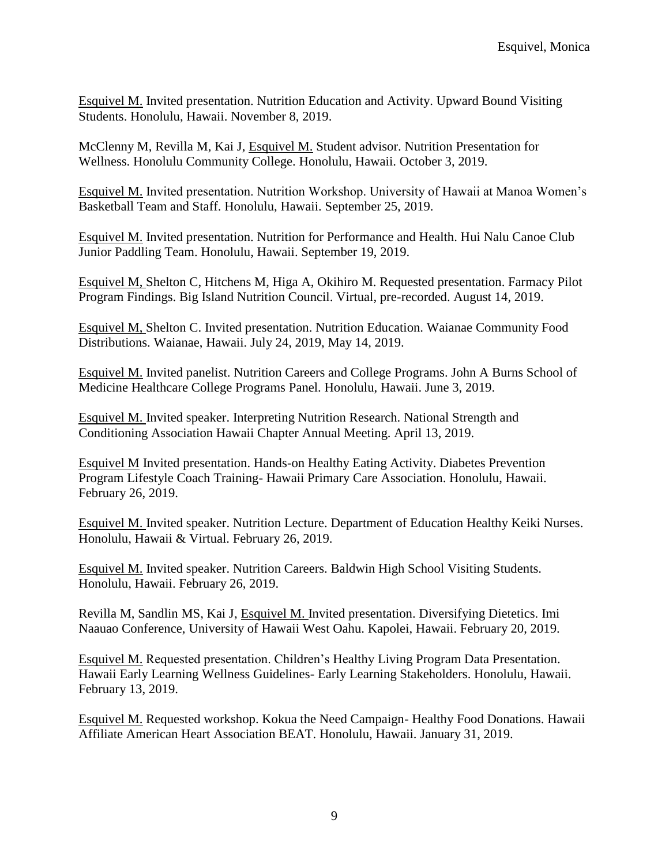Esquivel M. Invited presentation. Nutrition Education and Activity. Upward Bound Visiting Students. Honolulu, Hawaii. November 8, 2019.

McClenny M, Revilla M, Kai J, Esquivel M. Student advisor. Nutrition Presentation for Wellness. Honolulu Community College. Honolulu, Hawaii. October 3, 2019.

Esquivel M. Invited presentation. Nutrition Workshop. University of Hawaii at Manoa Women's Basketball Team and Staff. Honolulu, Hawaii. September 25, 2019.

Esquivel M. Invited presentation. Nutrition for Performance and Health. Hui Nalu Canoe Club Junior Paddling Team. Honolulu, Hawaii. September 19, 2019.

Esquivel M, Shelton C, Hitchens M, Higa A, Okihiro M. Requested presentation. Farmacy Pilot Program Findings. Big Island Nutrition Council. Virtual, pre-recorded. August 14, 2019.

Esquivel M, Shelton C. Invited presentation. Nutrition Education. Waianae Community Food Distributions. Waianae, Hawaii. July 24, 2019, May 14, 2019.

Esquivel M. Invited panelist. Nutrition Careers and College Programs. John A Burns School of Medicine Healthcare College Programs Panel. Honolulu, Hawaii. June 3, 2019.

Esquivel M. Invited speaker. Interpreting Nutrition Research. National Strength and Conditioning Association Hawaii Chapter Annual Meeting. April 13, 2019.

Esquivel M Invited presentation. Hands-on Healthy Eating Activity. Diabetes Prevention Program Lifestyle Coach Training- Hawaii Primary Care Association. Honolulu, Hawaii. February 26, 2019.

Esquivel M. Invited speaker. Nutrition Lecture. Department of Education Healthy Keiki Nurses. Honolulu, Hawaii & Virtual. February 26, 2019.

Esquivel M. Invited speaker. Nutrition Careers. Baldwin High School Visiting Students. Honolulu, Hawaii. February 26, 2019.

Revilla M, Sandlin MS, Kai J, Esquivel M. Invited presentation. Diversifying Dietetics. Imi Naauao Conference, University of Hawaii West Oahu. Kapolei, Hawaii. February 20, 2019.

Esquivel M. Requested presentation. Children's Healthy Living Program Data Presentation. Hawaii Early Learning Wellness Guidelines- Early Learning Stakeholders. Honolulu, Hawaii. February 13, 2019.

Esquivel M. Requested workshop. Kokua the Need Campaign- Healthy Food Donations. Hawaii Affiliate American Heart Association BEAT. Honolulu, Hawaii. January 31, 2019.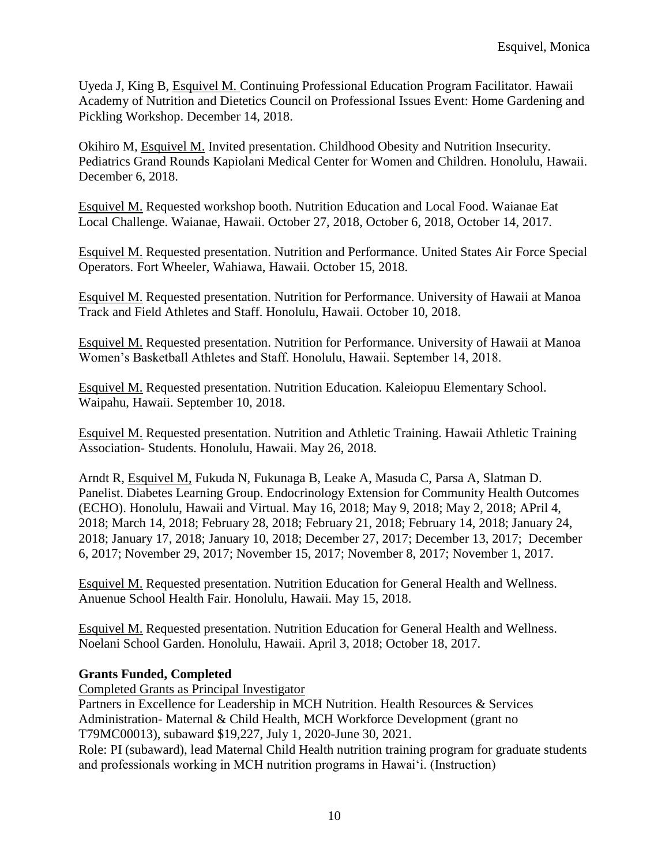Uyeda J, King B, Esquivel M. Continuing Professional Education Program Facilitator. Hawaii Academy of Nutrition and Dietetics Council on Professional Issues Event: Home Gardening and Pickling Workshop. December 14, 2018.

Okihiro M, Esquivel M. Invited presentation. Childhood Obesity and Nutrition Insecurity. Pediatrics Grand Rounds Kapiolani Medical Center for Women and Children. Honolulu, Hawaii. December 6, 2018.

Esquivel M. Requested workshop booth. Nutrition Education and Local Food. Waianae Eat Local Challenge. Waianae, Hawaii. October 27, 2018, October 6, 2018, October 14, 2017.

Esquivel M. Requested presentation. Nutrition and Performance. United States Air Force Special Operators. Fort Wheeler, Wahiawa, Hawaii. October 15, 2018.

Esquivel M. Requested presentation. Nutrition for Performance. University of Hawaii at Manoa Track and Field Athletes and Staff. Honolulu, Hawaii. October 10, 2018.

Esquivel M. Requested presentation. Nutrition for Performance. University of Hawaii at Manoa Women's Basketball Athletes and Staff. Honolulu, Hawaii. September 14, 2018.

Esquivel M. Requested presentation. Nutrition Education. Kaleiopuu Elementary School. Waipahu, Hawaii. September 10, 2018.

Esquivel M. Requested presentation. Nutrition and Athletic Training. Hawaii Athletic Training Association- Students. Honolulu, Hawaii. May 26, 2018.

Arndt R, Esquivel M, Fukuda N, Fukunaga B, Leake A, Masuda C, Parsa A, Slatman D. Panelist. Diabetes Learning Group. Endocrinology Extension for Community Health Outcomes (ECHO). Honolulu, Hawaii and Virtual. May 16, 2018; May 9, 2018; May 2, 2018; APril 4, 2018; March 14, 2018; February 28, 2018; February 21, 2018; February 14, 2018; January 24, 2018; January 17, 2018; January 10, 2018; December 27, 2017; December 13, 2017; December 6, 2017; November 29, 2017; November 15, 2017; November 8, 2017; November 1, 2017.

Esquivel M. Requested presentation. Nutrition Education for General Health and Wellness. Anuenue School Health Fair. Honolulu, Hawaii. May 15, 2018.

Esquivel M. Requested presentation. Nutrition Education for General Health and Wellness. Noelani School Garden. Honolulu, Hawaii. April 3, 2018; October 18, 2017.

# **Grants Funded, Completed**

Completed Grants as Principal Investigator

Partners in Excellence for Leadership in MCH Nutrition. Health Resources & Services Administration- Maternal & Child Health, MCH Workforce Development (grant no T79MC00013), subaward \$19,227, July 1, 2020-June 30, 2021.

Role: PI (subaward), lead Maternal Child Health nutrition training program for graduate students and professionals working in MCH nutrition programs in Hawai'i. (Instruction)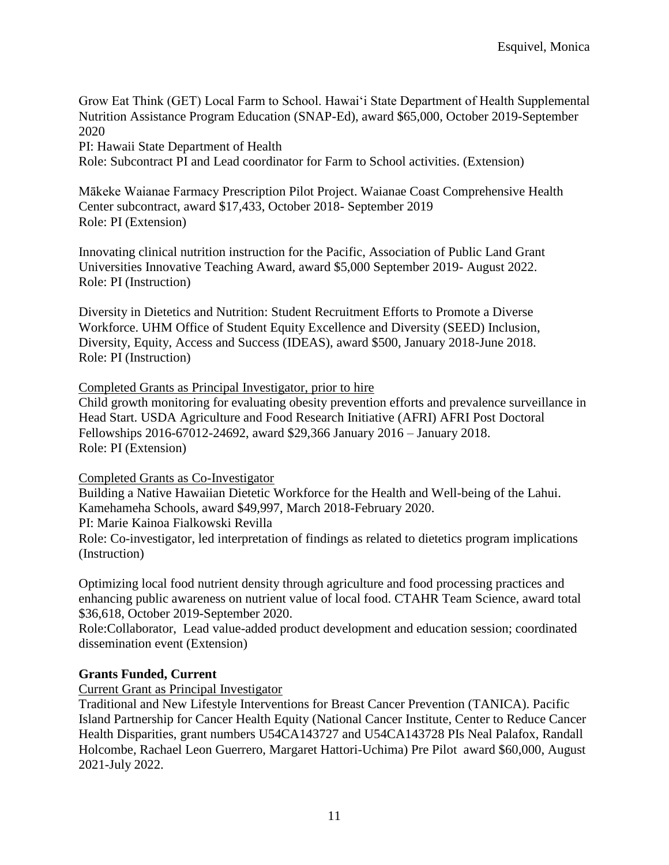Grow Eat Think (GET) Local Farm to School. Hawai'i State Department of Health Supplemental Nutrition Assistance Program Education (SNAP-Ed), award \$65,000, October 2019-September 2020

PI: Hawaii State Department of Health

Role: Subcontract PI and Lead coordinator for Farm to School activities. (Extension)

Mākeke Waianae Farmacy Prescription Pilot Project. Waianae Coast Comprehensive Health Center subcontract, award \$17,433, October 2018- September 2019 Role: PI (Extension)

Innovating clinical nutrition instruction for the Pacific, Association of Public Land Grant Universities Innovative Teaching Award, award \$5,000 September 2019- August 2022. Role: PI (Instruction)

Diversity in Dietetics and Nutrition: Student Recruitment Efforts to Promote a Diverse Workforce. UHM Office of Student Equity Excellence and Diversity (SEED) Inclusion, Diversity, Equity, Access and Success (IDEAS), award \$500, January 2018-June 2018. Role: PI (Instruction)

Completed Grants as Principal Investigator, prior to hire

Child growth monitoring for evaluating obesity prevention efforts and prevalence surveillance in Head Start. USDA Agriculture and Food Research Initiative (AFRI) AFRI Post Doctoral Fellowships 2016-67012-24692, award \$29,366 January 2016 – January 2018. Role: PI (Extension)

Completed Grants as Co-Investigator

Building a Native Hawaiian Dietetic Workforce for the Health and Well-being of the Lahui. Kamehameha Schools, award \$49,997, March 2018-February 2020.

PI: Marie Kainoa Fialkowski Revilla

Role: Co-investigator, led interpretation of findings as related to dietetics program implications (Instruction)

Optimizing local food nutrient density through agriculture and food processing practices and enhancing public awareness on nutrient value of local food. CTAHR Team Science, award total \$36,618, October 2019-September 2020.

Role:Collaborator, Lead value-added product development and education session; coordinated dissemination event (Extension)

# **Grants Funded, Current**

Current Grant as Principal Investigator

Traditional and New Lifestyle Interventions for Breast Cancer Prevention (TANICA). Pacific Island Partnership for Cancer Health Equity (National Cancer Institute, Center to Reduce Cancer Health Disparities, grant numbers U54CA143727 and U54CA143728 PIs Neal Palafox, Randall Holcombe, Rachael Leon Guerrero, Margaret Hattori-Uchima) Pre Pilot award \$60,000, August 2021-July 2022.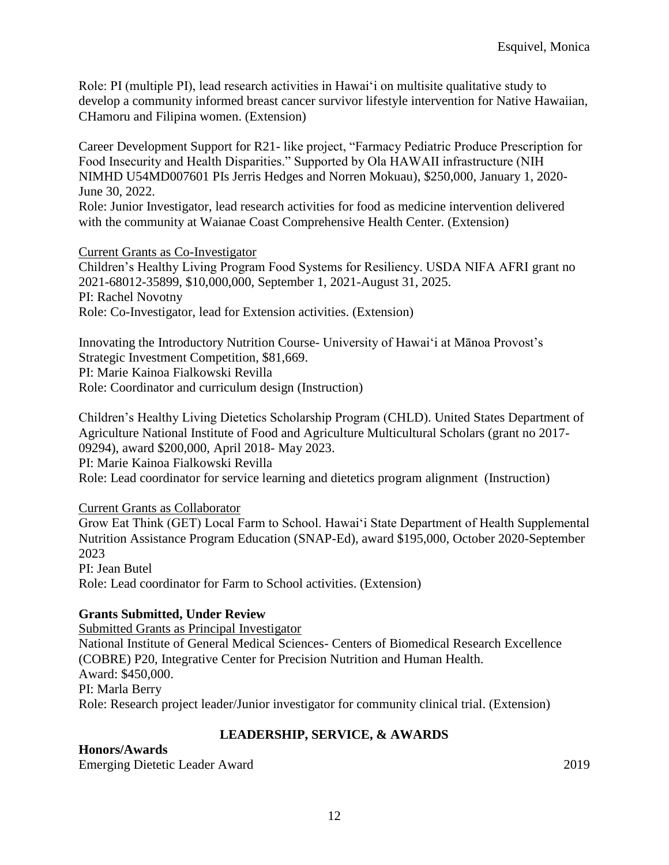Role: PI (multiple PI), lead research activities in Hawai'i on multisite qualitative study to develop a community informed breast cancer survivor lifestyle intervention for Native Hawaiian, CHamoru and Filipina women. (Extension)

Career Development Support for R21- like project, "Farmacy Pediatric Produce Prescription for Food Insecurity and Health Disparities." Supported by Ola HAWAII infrastructure (NIH NIMHD U54MD007601 PIs Jerris Hedges and Norren Mokuau), \$250,000, January 1, 2020- June 30, 2022.

Role: Junior Investigator, lead research activities for food as medicine intervention delivered with the community at Waianae Coast Comprehensive Health Center. (Extension)

#### Current Grants as Co-Investigator

Children's Healthy Living Program Food Systems for Resiliency. USDA NIFA AFRI grant no 2021-68012-35899, \$10,000,000, September 1, 2021-August 31, 2025. PI: Rachel Novotny Role: Co-Investigator, lead for Extension activities. (Extension)

Innovating the Introductory Nutrition Course- University of Hawai'i at Mānoa Provost's Strategic Investment Competition, \$81,669. PI: Marie Kainoa Fialkowski Revilla Role: Coordinator and curriculum design (Instruction)

Children's Healthy Living Dietetics Scholarship Program (CHLD). United States Department of Agriculture National Institute of Food and Agriculture Multicultural Scholars (grant no 2017- 09294), award \$200,000, April 2018- May 2023. PI: Marie Kainoa Fialkowski Revilla Role: Lead coordinator for service learning and dietetics program alignment (Instruction)

Current Grants as Collaborator Grow Eat Think (GET) Local Farm to School. Hawai'i State Department of Health Supplemental Nutrition Assistance Program Education (SNAP-Ed), award \$195,000, October 2020-September 2023 PI: Jean Butel Role: Lead coordinator for Farm to School activities. (Extension)

# **Grants Submitted, Under Review**

Submitted Grants as Principal Investigator National Institute of General Medical Sciences- Centers of Biomedical Research Excellence (COBRE) P20, Integrative Center for Precision Nutrition and Human Health. Award: \$450,000. PI: Marla Berry Role: Research project leader/Junior investigator for community clinical trial. (Extension)

# **LEADERSHIP, SERVICE, & AWARDS**

**Honors/Awards** Emerging Dietetic Leader Award 2019